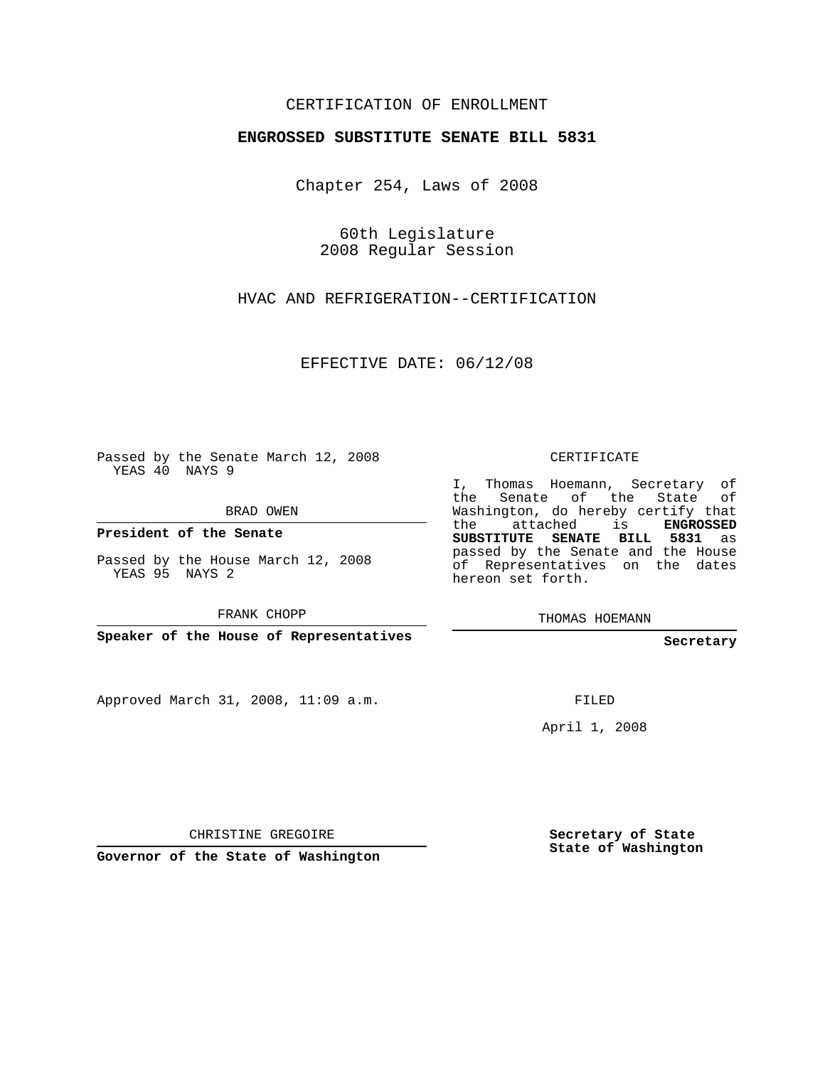## CERTIFICATION OF ENROLLMENT

## **ENGROSSED SUBSTITUTE SENATE BILL 5831**

Chapter 254, Laws of 2008

60th Legislature 2008 Regular Session

HVAC AND REFRIGERATION--CERTIFICATION

EFFECTIVE DATE: 06/12/08

Passed by the Senate March 12, 2008 YEAS 40 NAYS 9

BRAD OWEN

**President of the Senate**

Passed by the House March 12, 2008 YEAS 95 NAYS 2

FRANK CHOPP

**Speaker of the House of Representatives**

Approved March 31, 2008, 11:09 a.m.

CERTIFICATE

I, Thomas Hoemann, Secretary of the Senate of the State Washington, do hereby certify that the attached is **ENGROSSED SUBSTITUTE SENATE BILL 5831** as passed by the Senate and the House of Representatives on the dates hereon set forth.

THOMAS HOEMANN

**Secretary**

FILED

April 1, 2008

CHRISTINE GREGOIRE

**Governor of the State of Washington**

**Secretary of State State of Washington**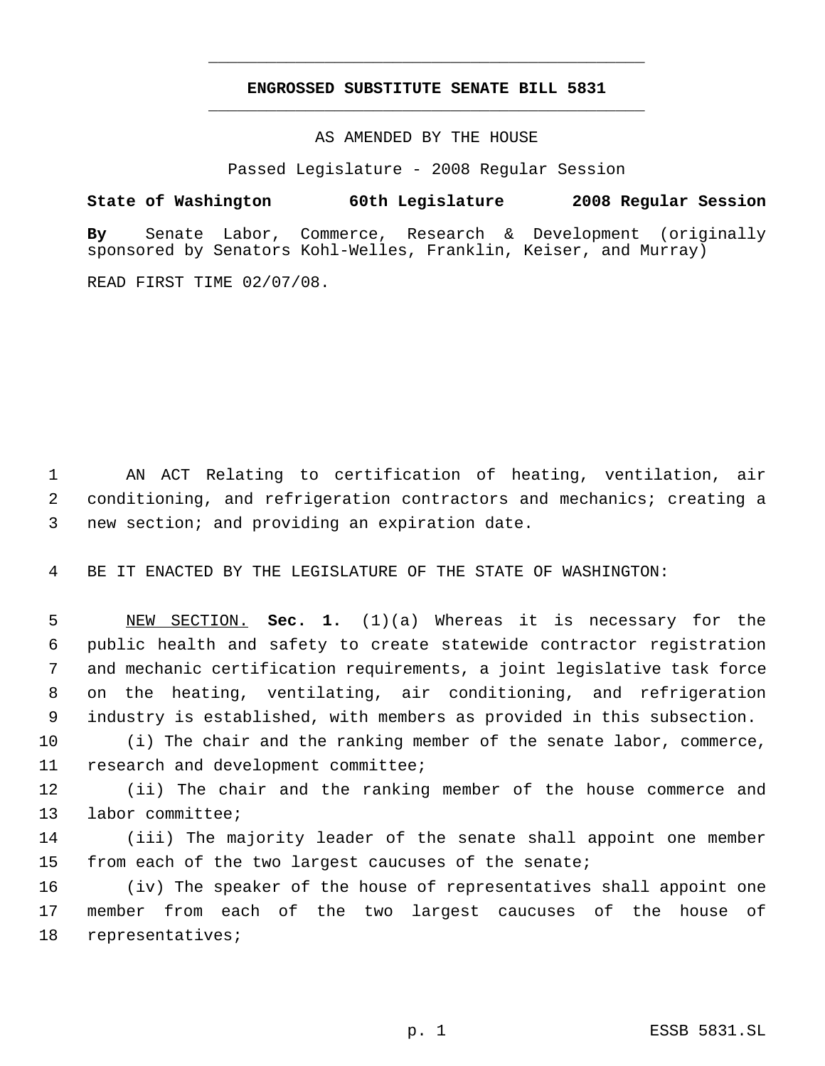## **ENGROSSED SUBSTITUTE SENATE BILL 5831** \_\_\_\_\_\_\_\_\_\_\_\_\_\_\_\_\_\_\_\_\_\_\_\_\_\_\_\_\_\_\_\_\_\_\_\_\_\_\_\_\_\_\_\_\_

\_\_\_\_\_\_\_\_\_\_\_\_\_\_\_\_\_\_\_\_\_\_\_\_\_\_\_\_\_\_\_\_\_\_\_\_\_\_\_\_\_\_\_\_\_

AS AMENDED BY THE HOUSE

Passed Legislature - 2008 Regular Session

**State of Washington 60th Legislature 2008 Regular Session By** Senate Labor, Commerce, Research & Development (originally sponsored by Senators Kohl-Welles, Franklin, Keiser, and Murray)

READ FIRST TIME 02/07/08.

 AN ACT Relating to certification of heating, ventilation, air conditioning, and refrigeration contractors and mechanics; creating a new section; and providing an expiration date.

BE IT ENACTED BY THE LEGISLATURE OF THE STATE OF WASHINGTON:

 NEW SECTION. **Sec. 1.** (1)(a) Whereas it is necessary for the public health and safety to create statewide contractor registration and mechanic certification requirements, a joint legislative task force on the heating, ventilating, air conditioning, and refrigeration industry is established, with members as provided in this subsection.

 (i) The chair and the ranking member of the senate labor, commerce, research and development committee;

 (ii) The chair and the ranking member of the house commerce and labor committee;

 (iii) The majority leader of the senate shall appoint one member from each of the two largest caucuses of the senate;

 (iv) The speaker of the house of representatives shall appoint one member from each of the two largest caucuses of the house of representatives;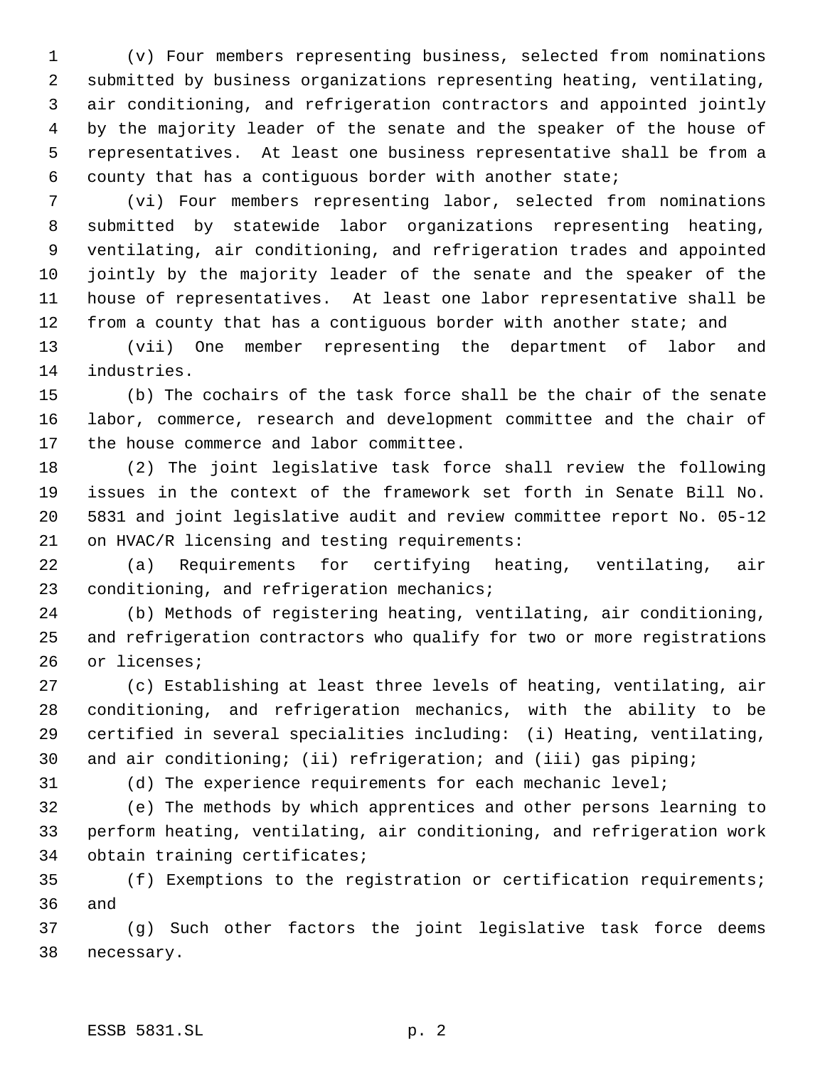(v) Four members representing business, selected from nominations submitted by business organizations representing heating, ventilating, air conditioning, and refrigeration contractors and appointed jointly by the majority leader of the senate and the speaker of the house of representatives. At least one business representative shall be from a county that has a contiguous border with another state;

 (vi) Four members representing labor, selected from nominations submitted by statewide labor organizations representing heating, ventilating, air conditioning, and refrigeration trades and appointed jointly by the majority leader of the senate and the speaker of the house of representatives. At least one labor representative shall be 12 from a county that has a contiguous border with another state; and

 (vii) One member representing the department of labor and industries.

 (b) The cochairs of the task force shall be the chair of the senate labor, commerce, research and development committee and the chair of the house commerce and labor committee.

 (2) The joint legislative task force shall review the following issues in the context of the framework set forth in Senate Bill No. 5831 and joint legislative audit and review committee report No. 05-12 on HVAC/R licensing and testing requirements:

 (a) Requirements for certifying heating, ventilating, air conditioning, and refrigeration mechanics;

 (b) Methods of registering heating, ventilating, air conditioning, and refrigeration contractors who qualify for two or more registrations or licenses;

 (c) Establishing at least three levels of heating, ventilating, air conditioning, and refrigeration mechanics, with the ability to be certified in several specialities including: (i) Heating, ventilating, and air conditioning; (ii) refrigeration; and (iii) gas piping;

(d) The experience requirements for each mechanic level;

 (e) The methods by which apprentices and other persons learning to perform heating, ventilating, air conditioning, and refrigeration work obtain training certificates;

 (f) Exemptions to the registration or certification requirements; and

 (g) Such other factors the joint legislative task force deems necessary.